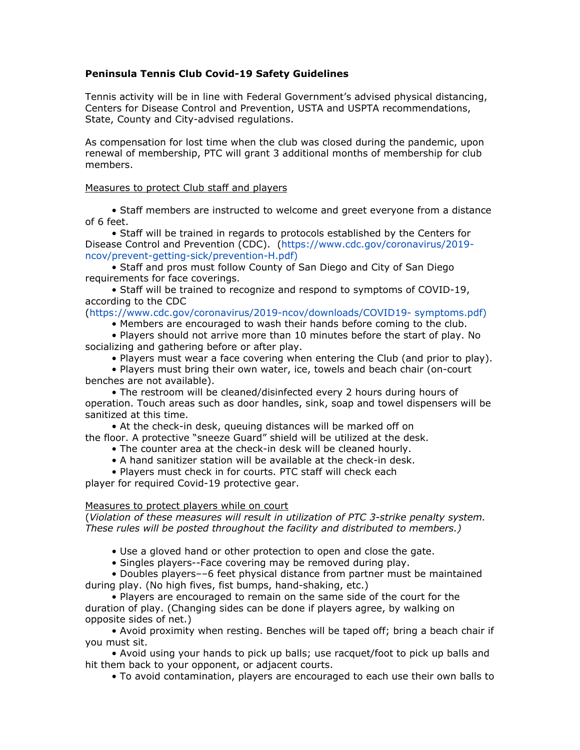## **Peninsula Tennis Club Covid-19 Safety Guidelines**

Tennis activity will be in line with Federal Government's advised physical distancing, Centers for Disease Control and Prevention, USTA and USPTA recommendations, State, County and City-advised regulations.

As compensation for lost time when the club was closed during the pandemic, upon renewal of membership, PTC will grant 3 additional months of membership for club members.

### Measures to protect Club staff and players

• Staff members are instructed to welcome and greet everyone from a distance of 6 feet.

• Staff will be trained in regards to protocols established by the Centers for Disease Control and Prevention (CDC). (https://www.cdc.gov/coronavirus/2019 ncov/prevent-getting-sick/prevention-H.pdf)

• Staff and pros must follow County of San Diego and City of San Diego requirements for face coverings.

• Staff will be trained to recognize and respond to symptoms of COVID-19, according to the CDC

# (https://www.cdc.gov/coronavirus/2019-ncov/downloads/COVID19- symptoms.pdf)

• Members are encouraged to wash their hands before coming to the club.

• Players should not arrive more than 10 minutes before the start of play. No socializing and gathering before or after play.

• Players must wear a face covering when entering the Club (and prior to play).

• Players must bring their own water, ice, towels and beach chair (on-court benches are not available).

• The restroom will be cleaned/disinfected every 2 hours during hours of operation. Touch areas such as door handles, sink, soap and towel dispensers will be sanitized at this time.

• At the check-in desk, queuing distances will be marked off on the floor. A protective "sneeze Guard" shield will be utilized at the desk.

- The counter area at the check-in desk will be cleaned hourly.
- A hand sanitizer station will be available at the check-in desk.
- Players must check in for courts. PTC staff will check each

player for required Covid-19 protective gear.

### Measures to protect players while on court

(*Violation of these measures will result in utilization of PTC 3-strike penalty system. These rules will be posted throughout the facility and distributed to members.)*

• Use a gloved hand or other protection to open and close the gate.

• Singles players--Face covering may be removed during play.

• Doubles players––6 feet physical distance from partner must be maintained during play. (No high fives, fist bumps, hand-shaking, etc.)

• Players are encouraged to remain on the same side of the court for the duration of play. (Changing sides can be done if players agree, by walking on opposite sides of net.)

• Avoid proximity when resting. Benches will be taped off; bring a beach chair if you must sit.

• Avoid using your hands to pick up balls; use racquet/foot to pick up balls and hit them back to your opponent, or adjacent courts.

• To avoid contamination, players are encouraged to each use their own balls to